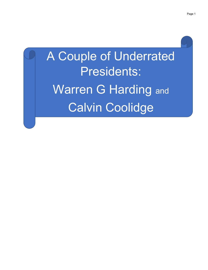## A Couple of Underrated Presidents: Warren G Harding and Calvin Coolidge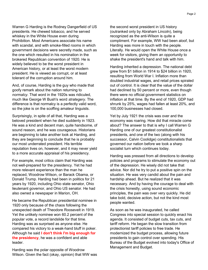Warren G Harding is the Rodney Dangerfield of US presidents. He chewed tobacco, and he served whiskey in the White House even during Prohibition. Most Americans associate his name with scandal, and with smoke-filled rooms in which government decisions were secretly made, such as the one which resulted in his nomination in the brokered Republican convention of 1920. He is widely believed to be the worst president in American history, or at least the worst modern president. He is viewed as corrupt, or at least tolerant of the corruption around him.

And, of course, Harding is the guy who made that goofy remark about the nation returning to normalcy. That word in the 1920s was ridiculed, much like George W Bush's word strategery. The difference is that normalcy is a perfectly valid word, so the joke is on the scoffing amateur linguists.

Surprisingly, in spite of all that, Harding was a beloved president when he died suddenly in 1923. He was a kind and decent man, quite handsome, of sound reason, and he was courageous. Historians are beginning to take another look at Harding, and they are beginning to conclude that he is probably our most underrated president. His terrible reputation lives on, however, and it may never yield to a more accurate appraisal of his presidency.

For example, most critics claim that Harding was not well-prepared for the presidency. Yet he had more relevant experience than the man he replaced, Woodrow Wilson, or Barack Obama, or Donald Trump. Harding had been in politics for 21 years by 1920, including Ohio state senator, Ohio lieutenant governor, and Ohio US senator. He had also owned a newspaper in Marion, OH.

He became the Republican presidential nominee in 1920 only because of the chaos following the unexpected death of Theodore Roosevelt in 1919. Yet the unlikely nominee won 60.2 percent of the popular vote, a record landslide for that time. Harding was as surprised as anyone else. He compared his victory to a weak-hand bluff in poker. Although he said I don't think I'm big enough for the presidency, he was a confident and able leader.

Harding was the polar opposite of Woodrow Wilson. Given the fact (okay, opinion) that WW was the second worst president in US history (outranked only by Abraham Lincoln), being recognized as the anti-Wilson is quite a compliment. For example, WW had been aloof, but Harding was more in touch with the people. Literally. He would open the White House once a week for visitors, giving them an opportunity to shake the president's hand and talk with him.

Harding inherited a depression. The national debt grew from \$1 billion in 1914 to \$24 billion in 1920, resulting from World War I. Inflation more than doubled industrial wages, and retail prices spiraled out of control. It is clear that the value of the dollar had declined by 50 percent or more, even though there were no official government statistics on inflation at that time. By the end of 1920, GDP had shrunk by 25%, wages had fallen at least 20%, and 100,000 businesses had closed.

Yet by July 1921 the crisis was over and the economy was roaring. How did that miracle come about? The answer to that is why I call Warren G Harding one of our greatest constitutionalist presidents, and one of the two (along with his successor, Calvin Coolidge) constitutionalists that governed our nation before we took a sharp socialist turn which continues today.

Harding was pressed from all directions to develop policies and programs to stimulate the economy out of the depression. He wisely did not take that advice. Nor did he try to put a positive spin on the situation. He was very candid about the pain and hardship ahead. But he realized that it was necessary. And by having the courage to deal with the crisis honestly, using sound economic principles, the pain was over very quickly. He did take bold, decisive action, but not the kind most people wanted.

As soon as he was inaugurated, he called Congress into special session to quickly enact his agenda. It consisted of budget cuts, tax cuts, and tariff reform. He began the slow transition from protectionist tariff policies to free trade. He modernized the budget process, allowing future presidents to gain control over spending. His Bureau of the Budget evolved into today's Office of Management and Budget.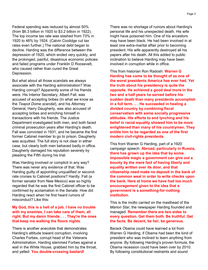Federal spending was reduced by almost 50% (from \$6.3 billion in 1920 to \$3.2 billion in 1922). The top income tax rate was slashed from 73% in 1920 to 46% by 1924. (Calvin Coolidge cut tax rates even further.) The national debt began to decline. Harding was the difference between the depression of 1920, which ended very quickly, and the prolonged, painful, disastrous economic policies and failed programs under Franklin D Roosevelt, who caused rather than cured the Great Depression.

But what about all those scandals we always associate with the Harding administration? Was Harding corrupt? Apparently some of his friends were. His Interior Secretary, Albert Fall, was accused of accepting bribes (In what we know as the Teapot Dome scandal), and his Attorney General, Harry Daugherty, was also accused of accepting bribes and enriching himself in transactions with his friends. The Justice Department investigated both men, and both faced criminal prosecution years after Harding's death. Fall was convicted in 1931, and he became the first former Cabinet member to go to prison. Daugherty was acquitted. The full story is not clear in either case, but clearly both men behaved badly in office. Daugherty damaged his reputation severely by pleading the Fifth during his trial.

Was Harding involved or complicit in any way? There was never any evidence of that. Was Harding guilty of appointing unqualified or secondrate cronies to Cabinet positions? Hardly. Fall (a former senator from New Mexico) was so highly regarded that he was the first Cabinet officer to be confirmed by acclamation in the Senate. How did Harding react when he first heard rumors of misconduct? Like this:

## My God, this is a hell of a job. I have no trouble with my enemies. I can take care of them, all right. But my damn friends . . . They're the ones that keep me walking the floors nights.

There is another anecdote that demonstrates Harding's attitude toward corruption, involving Charles Forbes, corrupt head of the Veterans Administration. Harding slammed Forbes against a wall in the White House, grabbed him by the throat, and yelled: You double-crossing bastard!

There was no shortage of rumors about Harding's personal life and his unexpected death. His wife might have poisoned him. One of his ancestors may have been black. He had been involved in at least one extra-marital affair prior to becoming president. His wife apparently destroyed all his papers after his death. All this added to public inclination to believe Harding may have been involved in corruption while in office.

This from historian Ron Radosh: Warren G Harding has come to be thought of as one of the worst presidents America has ever had. Yet the truth about his presidency is quite the opposite. He achieved a good deal more in the two and a half years he served before his sudden death than many presidents accomplish in a full term. .. . He succeeded in healing a divided country by combining fiscal conservatism with some socially progressive attitudes. His efforts to end lynching and his belief in racial equality showed him to be more enlightened than many of his countrymen. They entitle him to be regarded as one of the first modern civil-rights presidents.

This from Warren G Harding, part of a 1920 campaign speech: Abroad, particularly in Russia, there has grown up the idea that by some impossible magic a government can give out a bounty by the mere fact of having liberty and equality written over its door, and that citizenship need make no deposit in the bank of the common weal in order to write checks upon the bank. Here at home we have had too much encouragement given to the idea that a government is a something-for-nothing **institution** 

This is the motto carried on the masthead of the Marion Star, the newspaper Harding founded and managed: Remember there are two sides to every question. Get them both. Be truthful. Get the facts. Be decent, be fair, be generous.

Barack Obama could have learned a lot from Warren G Harding, if Obama had been the kind of president who was inclined to learn anything from anyone. By following Harding's proven formula, the Obama recession could have been over by 2010. By following constitutional restraints and sound